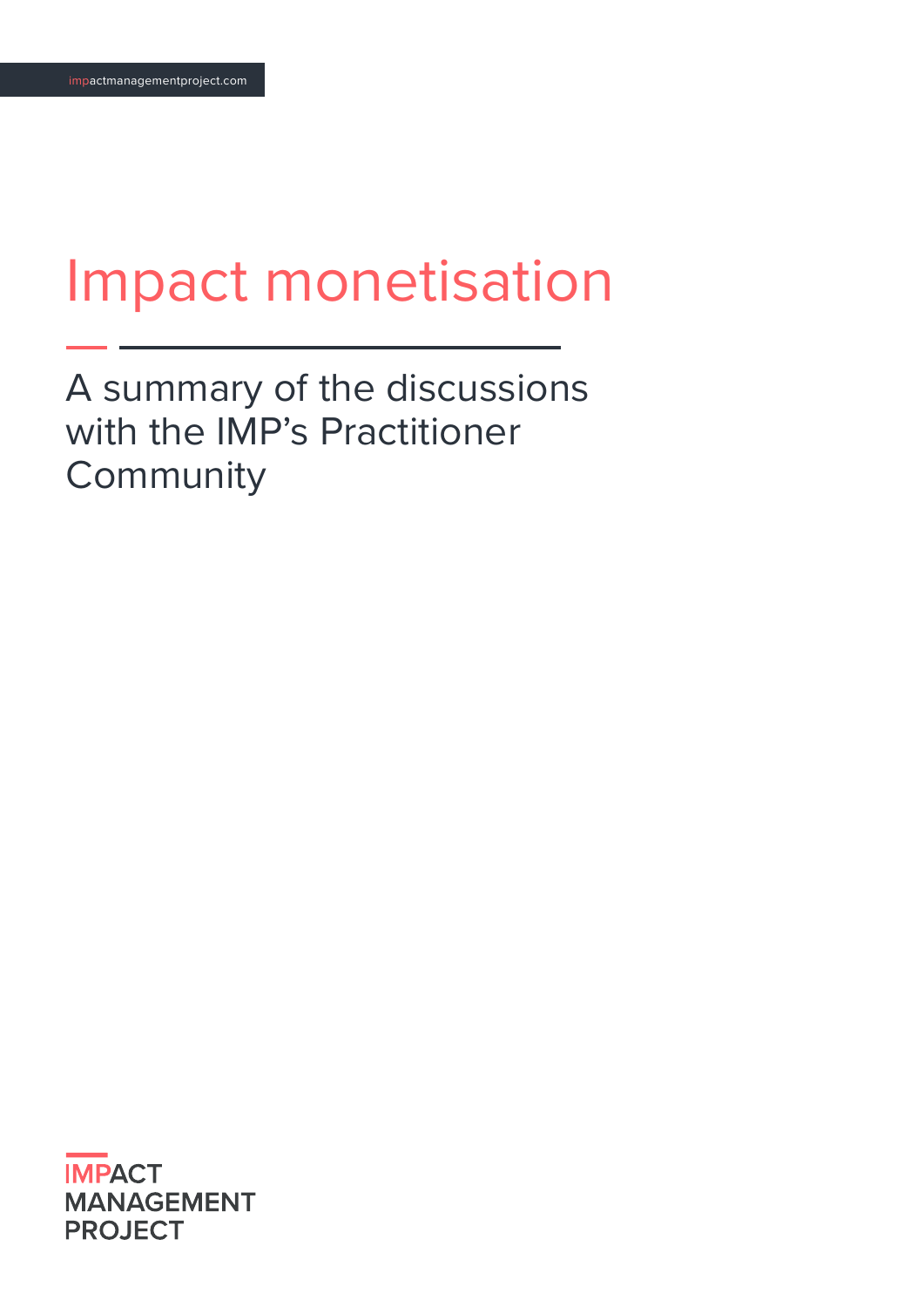# Impact monetisation

A summary of the discussions with the IMP's Practitioner **Community** 

**IMPACT MANAGEMENT PROJECT**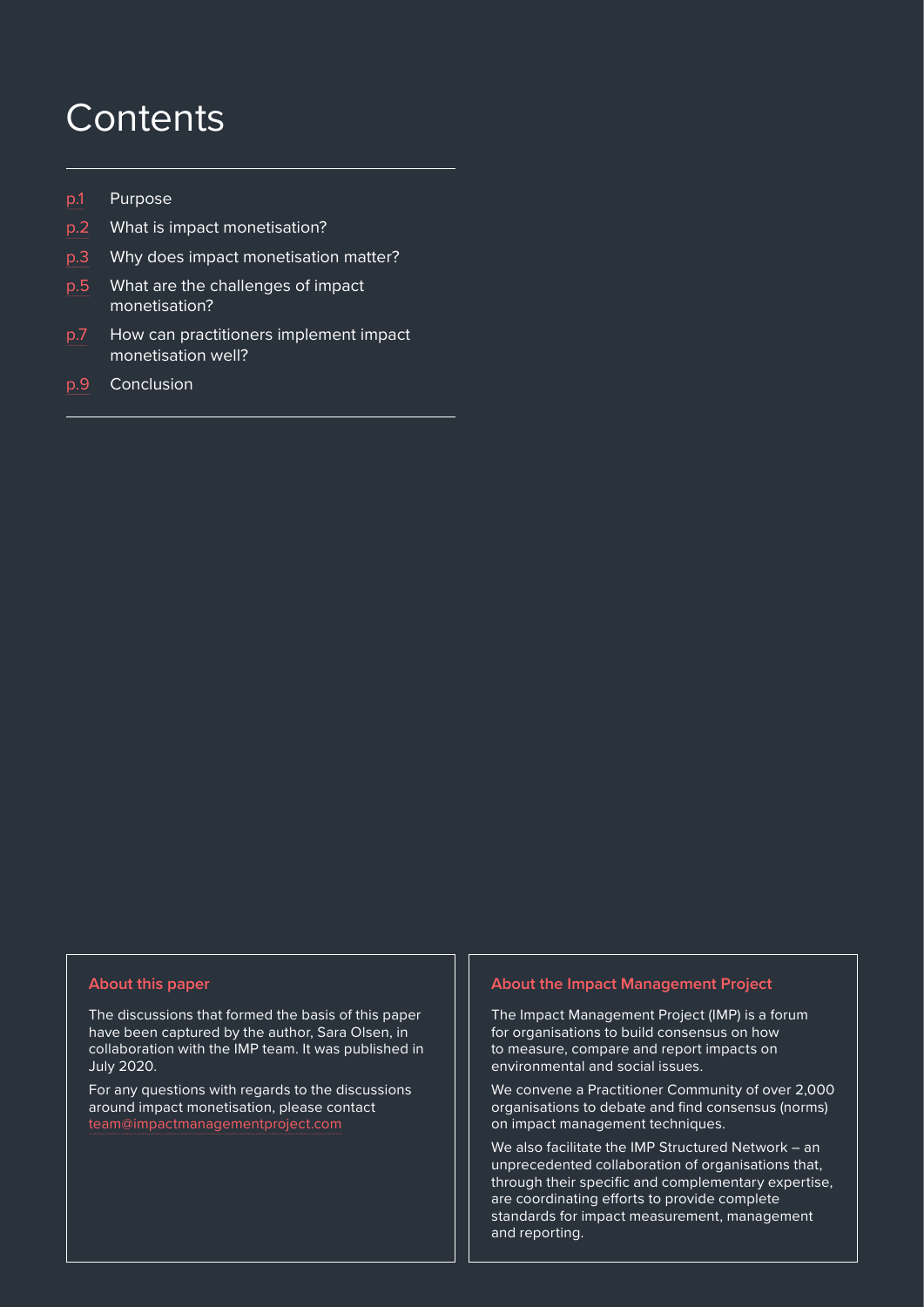### **Contents**

- [p.1](#page-2-0) Purpose
- [p.2](#page-3-0) What is impact monetisation?
- [p.3](#page-4-0) Why does impact monetisation matter?
- [p.5](#page-6-0) What are the challenges of impact monetisation?
- [p.7](#page-8-0) How can practitioners implement impact monetisation well?
- [p.9](#page-10-0) Conclusion

#### **About this paper**

The discussions that formed the basis of this paper have been captured by the author, Sara Olsen, in collaboration with the IMP team. It was published in July 2020.

For any questions with regards to the discussions around impact monetisation, please contact [team@impactmanagementproject.com](mailto:team%40impactmanagementproject.com?subject=)

#### **About the Impact Management Project**

The Impact Management Project (IMP) is a forum for organisations to build consensus on how to measure, compare and report impacts on environmental and social issues.

We convene a Practitioner Community of over 2,000 organisations to debate and find consensus (norms) on impact management techniques.

 $\parallel$  and reporting. Impact monetisation summary paper impact monetisation summary paper impact  $\parallel$ We also facilitate the IMP Structured Network – an unprecedented collaboration of organisations that, through their specific and complementary expertise, are coordinating efforts to provide complete standards for impact measurement, management and reporting.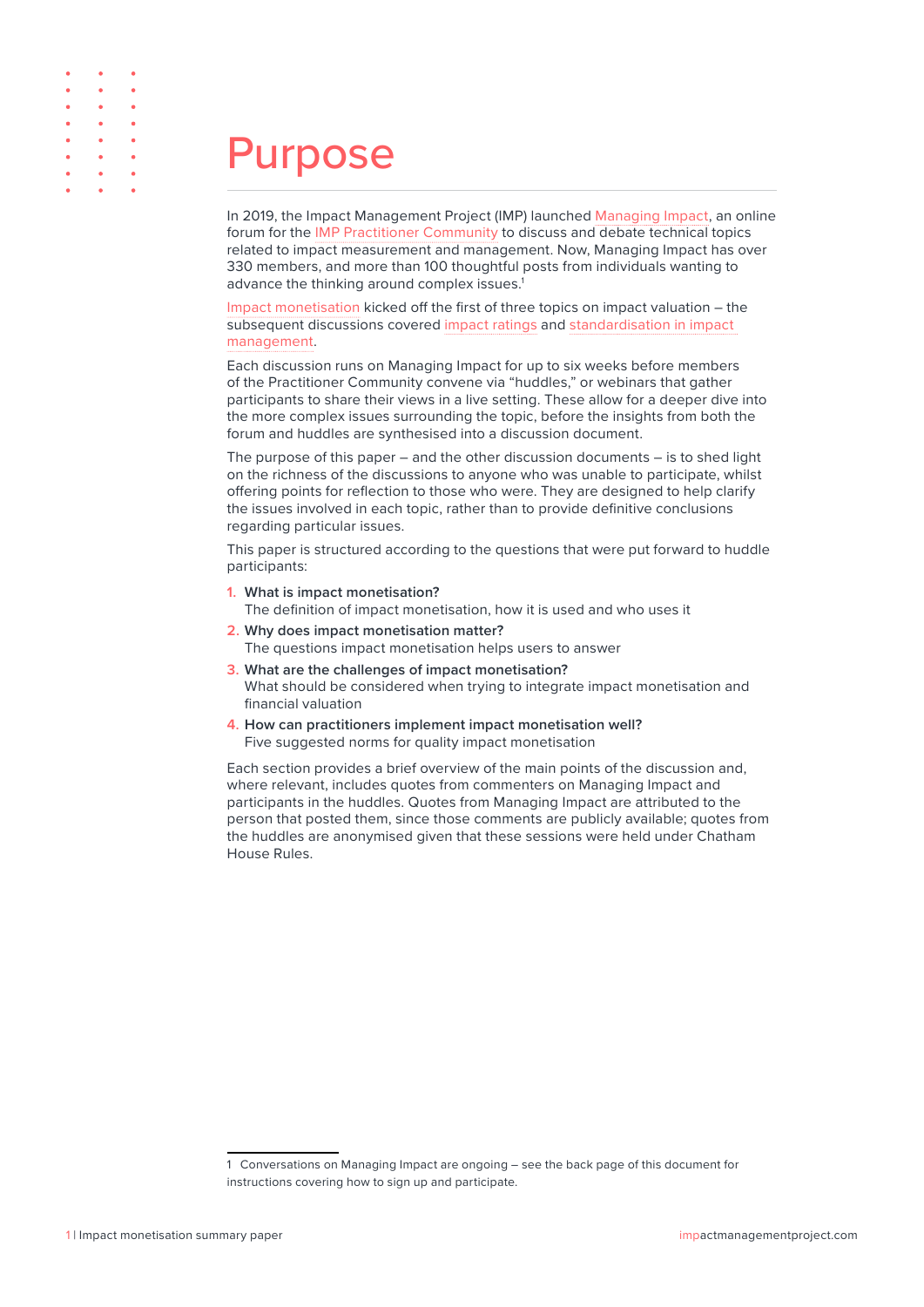<span id="page-2-0"></span>

| $\bullet \qquad \bullet \qquad \bullet$                |  |
|--------------------------------------------------------|--|
| $\bullet \qquad \bullet \qquad \bullet$                |  |
| $\bullet \qquad \bullet \qquad \bullet$                |  |
| $\bullet \qquad \bullet \qquad \bullet$                |  |
| $\bullet \qquad \bullet \qquad \bullet$                |  |
| $\bullet \qquad \bullet \qquad \bullet$                |  |
| $\bullet \qquad \bullet \qquad \bullet$                |  |
| $\bullet \qquad \bullet \qquad \bullet \qquad \bullet$ |  |

### Purpose

In 2019, the Impact Management Project (IMP) launched [Managing Impact,](https://idealab.hbr.org/groups/managing-impact/) an online forum for the [IMP Practitioner Community](https://impactmanagementproject.com/impact-management/practitioner-community/) to discuss and debate technical topics related to impact measurement and management. Now, Managing Impact has over 330 members, and more than 100 thoughtful posts from individuals wanting to advance the thinking around complex issues.<sup>1</sup>

[Impact monetisation](https://idealab.hbr.org/groups/managing-impact/forum/topic/impact-monetization-1-introduction/) kicked off the first of three topics on impact valuation – the subsequent discussions covered [impact ratings](https://idealab.hbr.org/groups/managing-impact/forum/topic/impact-ratings-quantified-but-not-monetized/) and [standardisation in impact](https://idealab.hbr.org/groups/managing-impact/forum/topic/what-can-and-cant-be-standardized-in-impact-management/)  [management](https://idealab.hbr.org/groups/managing-impact/forum/topic/what-can-and-cant-be-standardized-in-impact-management/).

Each discussion runs on Managing Impact for up to six weeks before members of the Practitioner Community convene via "huddles," or webinars that gather participants to share their views in a live setting. These allow for a deeper dive into the more complex issues surrounding the topic, before the insights from both the forum and huddles are synthesised into a discussion document.

The purpose of this paper – and the other discussion documents – is to shed light on the richness of the discussions to anyone who was unable to participate, whilst offering points for reflection to those who were. They are designed to help clarify the issues involved in each topic, rather than to provide definitive conclusions regarding particular issues.

This paper is structured according to the questions that were put forward to huddle participants:

- **1. What is impact monetisation?** The definition of impact monetisation, how it is used and who uses it
- **2. Why does impact monetisation matter?**  The questions impact monetisation helps users to answer
- **3. What are the challenges of impact monetisation?** What should be considered when trying to integrate impact monetisation and financial valuation
- **4. How can practitioners implement impact monetisation well?** Five suggested norms for quality impact monetisation

Each section provides a brief overview of the main points of the discussion and, where relevant, includes quotes from commenters on Managing Impact and participants in the huddles. Quotes from Managing Impact are attributed to the person that posted them, since those comments are publicly available; quotes from the huddles are anonymised given that these sessions were held under Chatham House Rules.

<sup>1</sup> Conversations on Managing Impact are ongoing – see the back page of this document for instructions covering how to sign up and participate.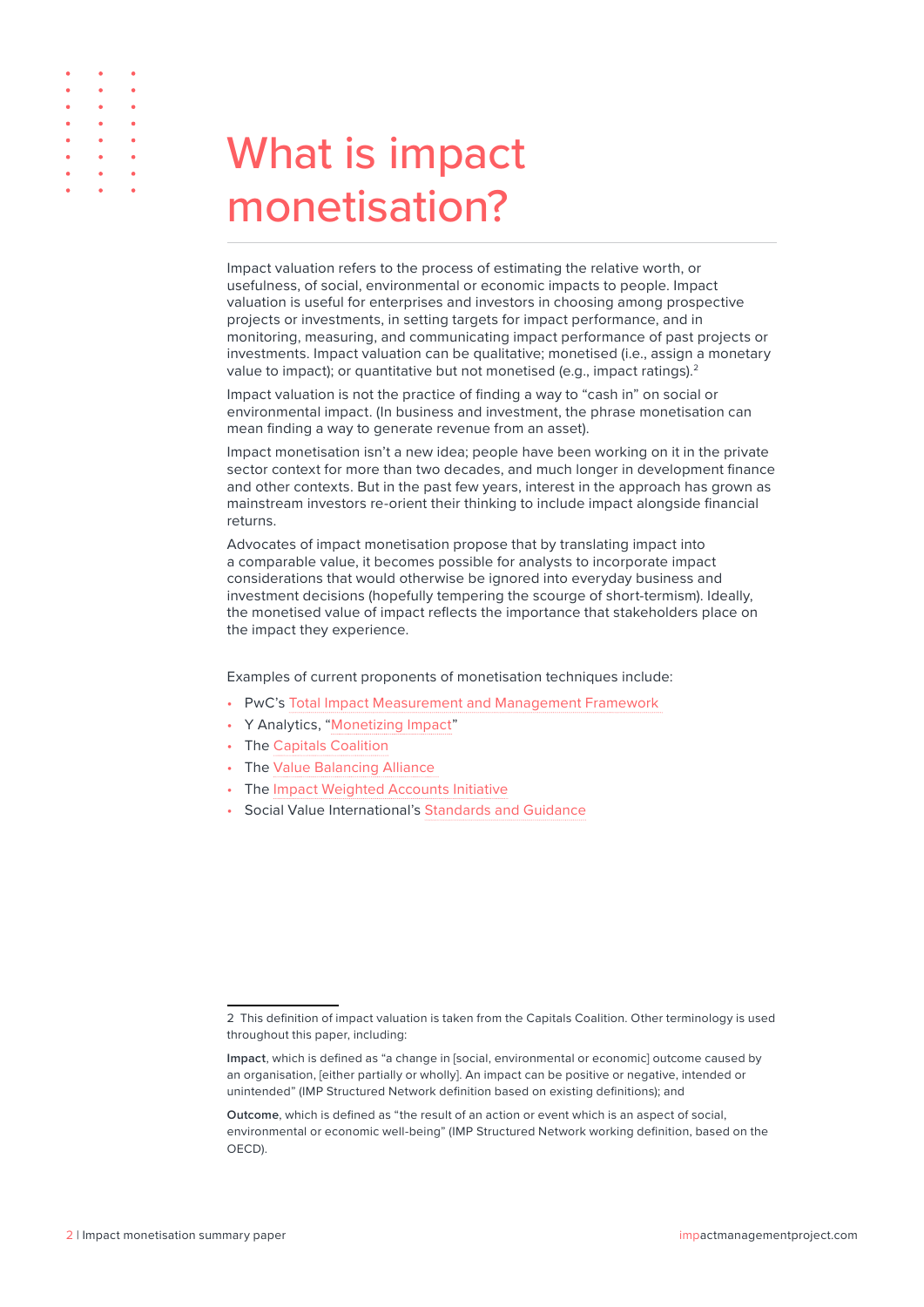<span id="page-3-0"></span>

| $\bullet \qquad \bullet \qquad \bullet$                                                               |   |
|-------------------------------------------------------------------------------------------------------|---|
| $\bullet \qquad \bullet \qquad \bullet$                                                               |   |
| $\bullet \qquad \bullet \qquad \bullet$                                                               |   |
| $\bullet \qquad \bullet \qquad \bullet$                                                               |   |
| $\begin{array}{cccccccccccccc} \bullet & \bullet & \bullet & \bullet & \bullet & \bullet \end{array}$ |   |
| $\bullet \qquad \bullet \qquad \bullet$                                                               |   |
| $\bullet \qquad \bullet \qquad \bullet$                                                               | ٠ |
| $\bullet \qquad \bullet \qquad \bullet$                                                               |   |
|                                                                                                       |   |

## What is impact monetisation?

Impact valuation refers to the process of estimating the relative worth, or usefulness, of social, environmental or economic impacts to people. Impact valuation is useful for enterprises and investors in choosing among prospective projects or investments, in setting targets for impact performance, and in monitoring, measuring, and communicating impact performance of past projects or investments. Impact valuation can be qualitative; monetised (i.e., assign a monetary value to impact); or quantitative but not monetised (e.g., impact ratings).<sup>2</sup>

Impact valuation is not the practice of finding a way to "cash in" on social or environmental impact. (In business and investment, the phrase monetisation can mean finding a way to generate revenue from an asset).

Impact monetisation isn't a new idea; people have been working on it in the private sector context for more than two decades, and much longer in development finance and other contexts. But in the past few years, interest in the approach has grown as mainstream investors re-orient their thinking to include impact alongside financial returns.

Advocates of impact monetisation propose that by translating impact into a comparable value, it becomes possible for analysts to incorporate impact considerations that would otherwise be ignored into everyday business and investment decisions (hopefully tempering the scourge of short-termism). Ideally, the monetised value of impact reflects the importance that stakeholders place on the impact they experience.

Examples of current proponents of monetisation techniques include:

- PwC's [Total Impact Measurement and Management Framework](http://www.pwc.com/timm)
- Y Analytics, ["Monetizing Impact](https://yanalytics.org/research-insights/monetizing-impact)"
- The [Capitals Coalition](https://naturalcapitalcoalition.org/the-future-of-capitals-introducing-the-capitals-coalition/)
- The [Value Balancing Alliance](https://www.value-balancing.com/)
- The [Impact Weighted Accounts Initiative](https://www.hbs.edu/impact-weighted-accounts/Pages/default.aspx)
- Social Value International's [Standards and Guidance](https://socialvalueint.org/social-value/standards-and-guidance/)

<sup>2</sup> This definition of impact valuation is taken from the Capitals Coalition. Other terminology is used throughout this paper, including:

**Impact**, which is defined as "a change in [social, environmental or economic] outcome caused by an organisation, [either partially or wholly]. An impact can be positive or negative, intended or unintended" (IMP Structured Network definition based on existing definitions); and

**Outcome**, which is defined as "the result of an action or event which is an aspect of social, environmental or economic well-being" (IMP Structured Network working definition, based on the OECD).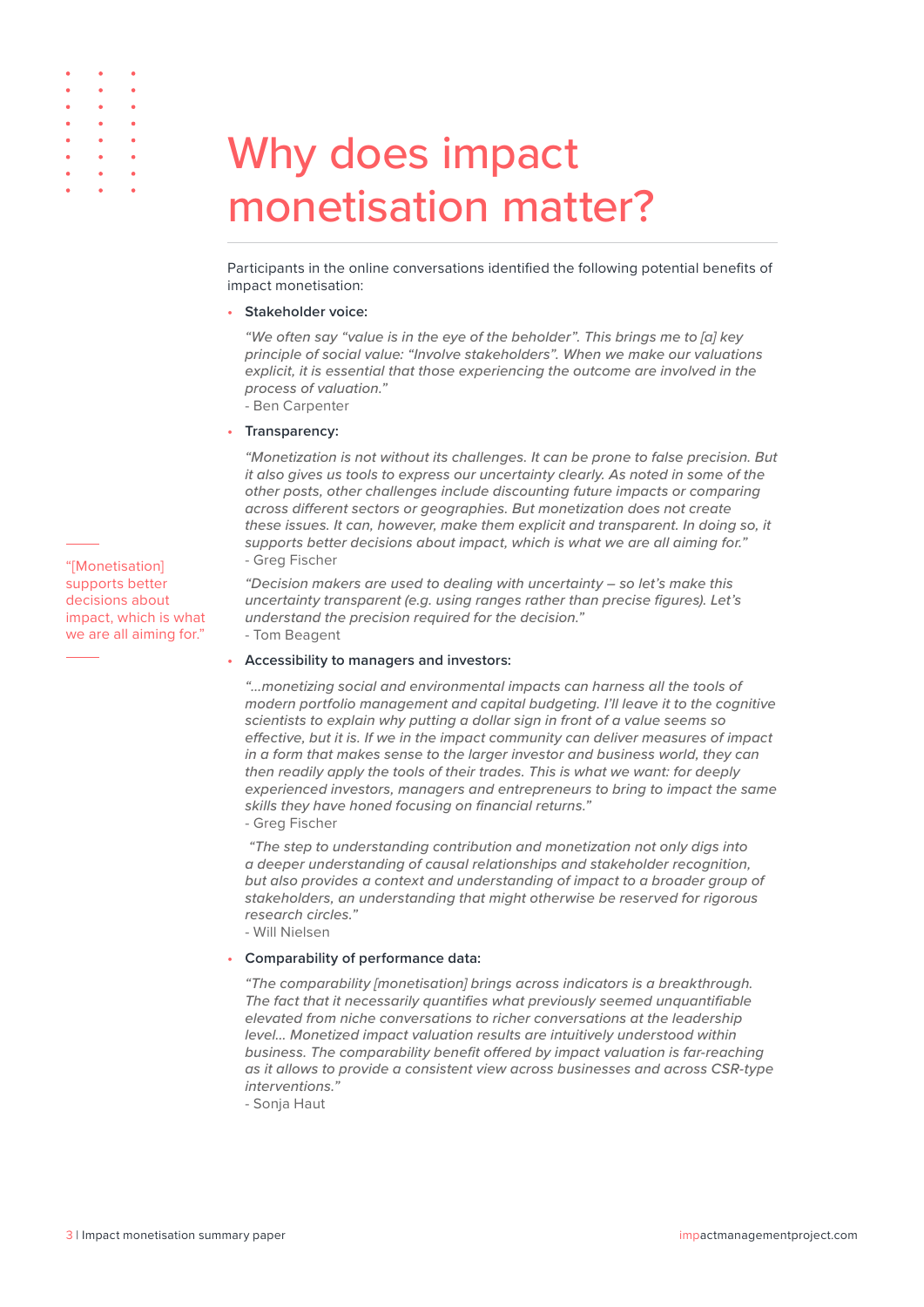### Why does impact monetisation matter?

Participants in the online conversations identified the following potential benefits of impact monetisation:

#### **• Stakeholder voice:**

*"We often say "value is in the eye of the beholder". This brings me to [a] key principle of social value: "Involve stakeholders". When we make our valuations explicit, it is essential that those experiencing the outcome are involved in the process of valuation."* - Ben Carpenter

#### **• Transparency:**

*"Monetization is not without its challenges. It can be prone to false precision. But it also gives us tools to express our uncertainty clearly. As noted in some of the other posts, other challenges include discounting future impacts or comparing across different sectors or geographies. But monetization does not create these issues. It can, however, make them explicit and transparent. In doing so, it supports better decisions about impact, which is what we are all aiming for."*  - Greg Fischer

*"Decision makers are used to dealing with uncertainty – so let's make this uncertainty transparent (e.g. using ranges rather than precise figures). Let's understand the precision required for the decision."*  - Tom Beagent

#### **• Accessibility to managers and investors:**

*"…monetizing social and environmental impacts can harness all the tools of modern portfolio management and capital budgeting. I'll leave it to the cognitive scientists to explain why putting a dollar sign in front of a value seems so effective, but it is. If we in the impact community can deliver measures of impact in a form that makes sense to the larger investor and business world, they can then readily apply the tools of their trades. This is what we want: for deeply experienced investors, managers and entrepreneurs to bring to impact the same skills they have honed focusing on financial returns."*

- Greg Fischer

 *"The step to understanding contribution and monetization not only digs into a deeper understanding of causal relationships and stakeholder recognition, but also provides a context and understanding of impact to a broader group of stakeholders, an understanding that might otherwise be reserved for rigorous research circles."* 

- Will Nielsen

#### **• Comparability of performance data:**

*"The comparability [monetisation] brings across indicators is a breakthrough. The fact that it necessarily quantifies what previously seemed unquantifiable elevated from niche conversations to richer conversations at the leadership level… Monetized impact valuation results are intuitively understood within business. The comparability benefit offered by impact valuation is far-reaching as it allows to provide a consistent view across businesses and across CSR-type interventions."*

- Sonja Haut

"[Monetisation] supports better decisions about impact, which is what we are all aiming for."

<span id="page-4-0"></span> $\ddot{\phantom{0}}$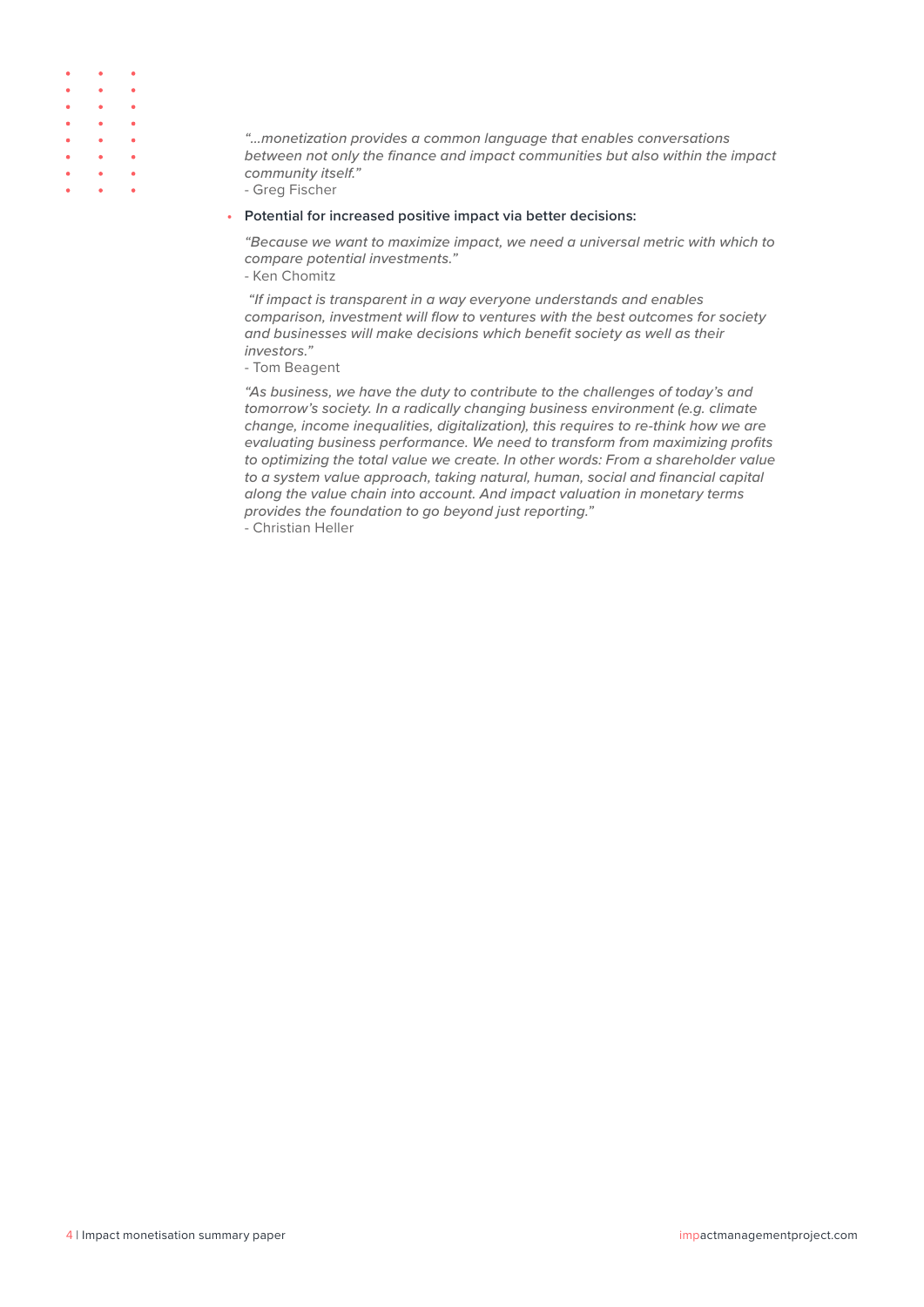| $\bullet \qquad \bullet \qquad \bullet$                                                        |                                                   |  |
|------------------------------------------------------------------------------------------------|---------------------------------------------------|--|
| $\bullet \qquad \bullet \qquad \bullet$                                                        |                                                   |  |
| $\begin{array}{ccccccccccccc} \bullet & & & \bullet & & & \bullet & & & \bullet \end{array}$   |                                                   |  |
| $\begin{array}{ccccccccccccc} \bullet & & & & \bullet & & & \bullet & & & \bullet \end{array}$ |                                                   |  |
| $\begin{array}{ccccccccccccc} \bullet & & & \bullet & & & \bullet & & & \bullet \end{array}$   |                                                   |  |
| $\bullet \qquad \bullet \qquad \bullet$                                                        |                                                   |  |
| $\bullet \qquad \bullet \qquad \bullet$                                                        | ٠                                                 |  |
|                                                                                                | $\bullet$ $\bullet$ $\bullet$ $\bullet$ $\bullet$ |  |

*"…monetization provides a common language that enables conversations between not only the finance and impact communities but also within the impact community itself."* 

- Greg Fischer

#### **• Potential for increased positive impact via better decisions:**

*"Because we want to maximize impact, we need a universal metric with which to compare potential investments."* 

- Ken Chomitz

 *"If impact is transparent in a way everyone understands and enables comparison, investment will flow to ventures with the best outcomes for society and businesses will make decisions which benefit society as well as their investors."* 

- Tom Beagent

*"As business, we have the duty to contribute to the challenges of today's and tomorrow's society. In a radically changing business environment (e.g. climate change, income inequalities, digitalization), this requires to re-think how we are evaluating business performance. We need to transform from maximizing profits to optimizing the total value we create. In other words: From a shareholder value to a system value approach, taking natural, human, social and financial capital along the value chain into account. And impact valuation in monetary terms provides the foundation to go beyond just reporting."* 

- Christian Heller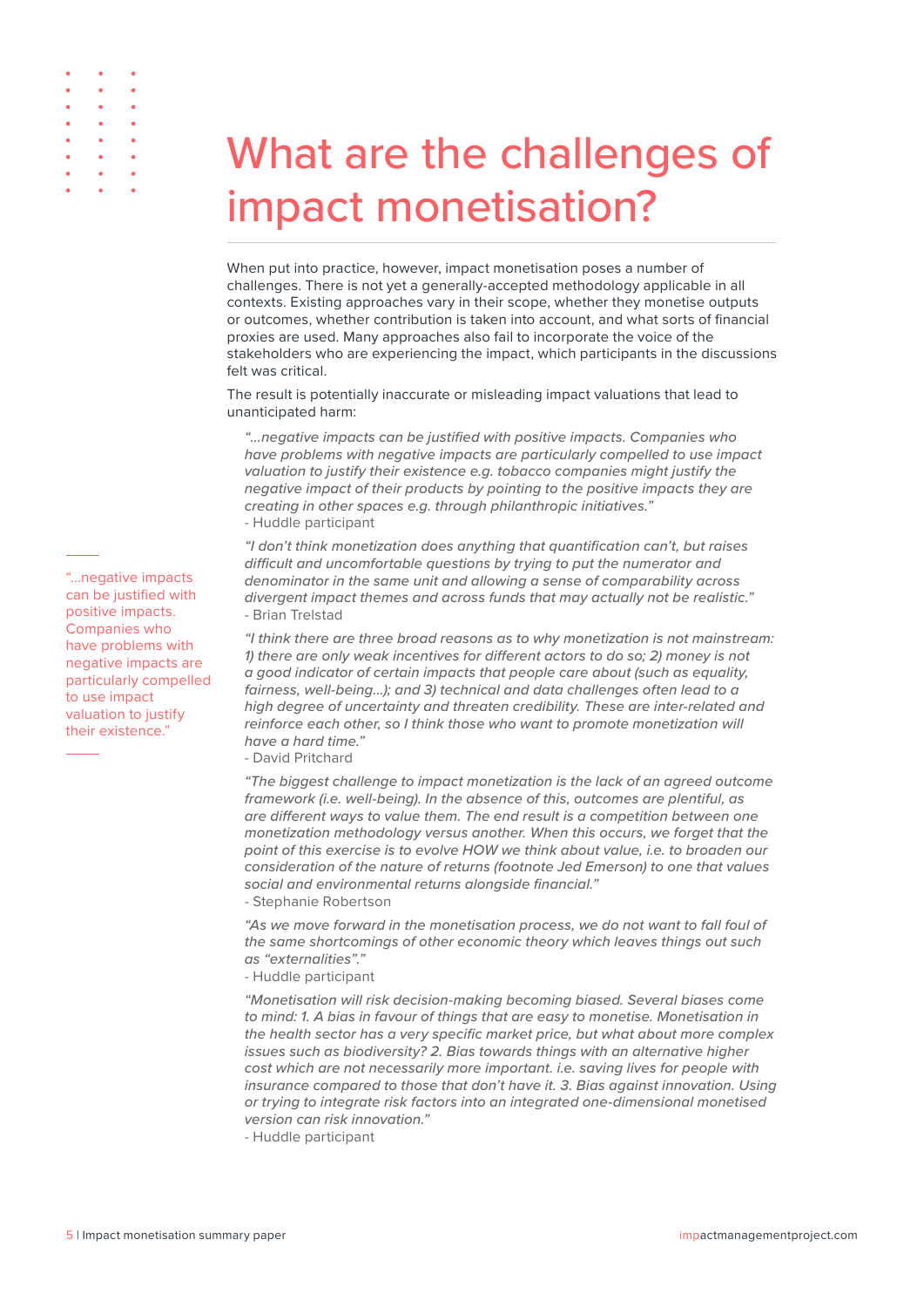<span id="page-6-0"></span>

## What are the challenges of impact monetisation?

When put into practice, however, impact monetisation poses a number of challenges. There is not yet a generally-accepted methodology applicable in all contexts. Existing approaches vary in their scope, whether they monetise outputs or outcomes, whether contribution is taken into account, and what sorts of financial proxies are used. Many approaches also fail to incorporate the voice of the stakeholders who are experiencing the impact, which participants in the discussions felt was critical.

The result is potentially inaccurate or misleading impact valuations that lead to unanticipated harm:

*"…negative impacts can be justified with positive impacts. Companies who have problems with negative impacts are particularly compelled to use impact valuation to justify their existence e.g. tobacco companies might justify the negative impact of their products by pointing to the positive impacts they are creating in other spaces e.g. through philanthropic initiatives."*  - Huddle participant

*"I don't think monetization does anything that quantification can't, but raises difficult and uncomfortable questions by trying to put the numerator and denominator in the same unit and allowing a sense of comparability across divergent impact themes and across funds that may actually not be realistic."*  - Brian Trelstad

*"I think there are three broad reasons as to why monetization is not mainstream: 1) there are only weak incentives for different actors to do so; 2) money is not a good indicator of certain impacts that people care about (such as equality, fairness, well-being…); and 3) technical and data challenges often lead to a high degree of uncertainty and threaten credibility. These are inter-related and reinforce each other, so I think those who want to promote monetization will have a hard time."* 

- David Pritchard

*"The biggest challenge to impact monetization is the lack of an agreed outcome framework (i.e. well-being). In the absence of this, outcomes are plentiful, as are different ways to value them. The end result is a competition between one monetization methodology versus another. When this occurs, we forget that the point of this exercise is to evolve HOW we think about value, i.e. to broaden our consideration of the nature of returns (footnote Jed Emerson) to one that values social and environmental returns alongside financial."* 

- Stephanie Robertson

*"As we move forward in the monetisation process, we do not want to fall foul of the same shortcomings of other economic theory which leaves things out such as "externalities"."*

- Huddle participant

*"Monetisation will risk decision-making becoming biased. Several biases come to mind: 1. A bias in favour of things that are easy to monetise. Monetisation in the health sector has a very specific market price, but what about more complex issues such as biodiversity? 2. Bias towards things with an alternative higher cost which are not necessarily more important. i.e. saving lives for people with insurance compared to those that don't have it. 3. Bias against innovation. Using or trying to integrate risk factors into an integrated one-dimensional monetised version can risk innovation."* 

- Huddle participant

can be justified with positive impacts. Companies who have problems with negative impacts are particularly compelled to use impact valuation to justify their existence."

"...negative impacts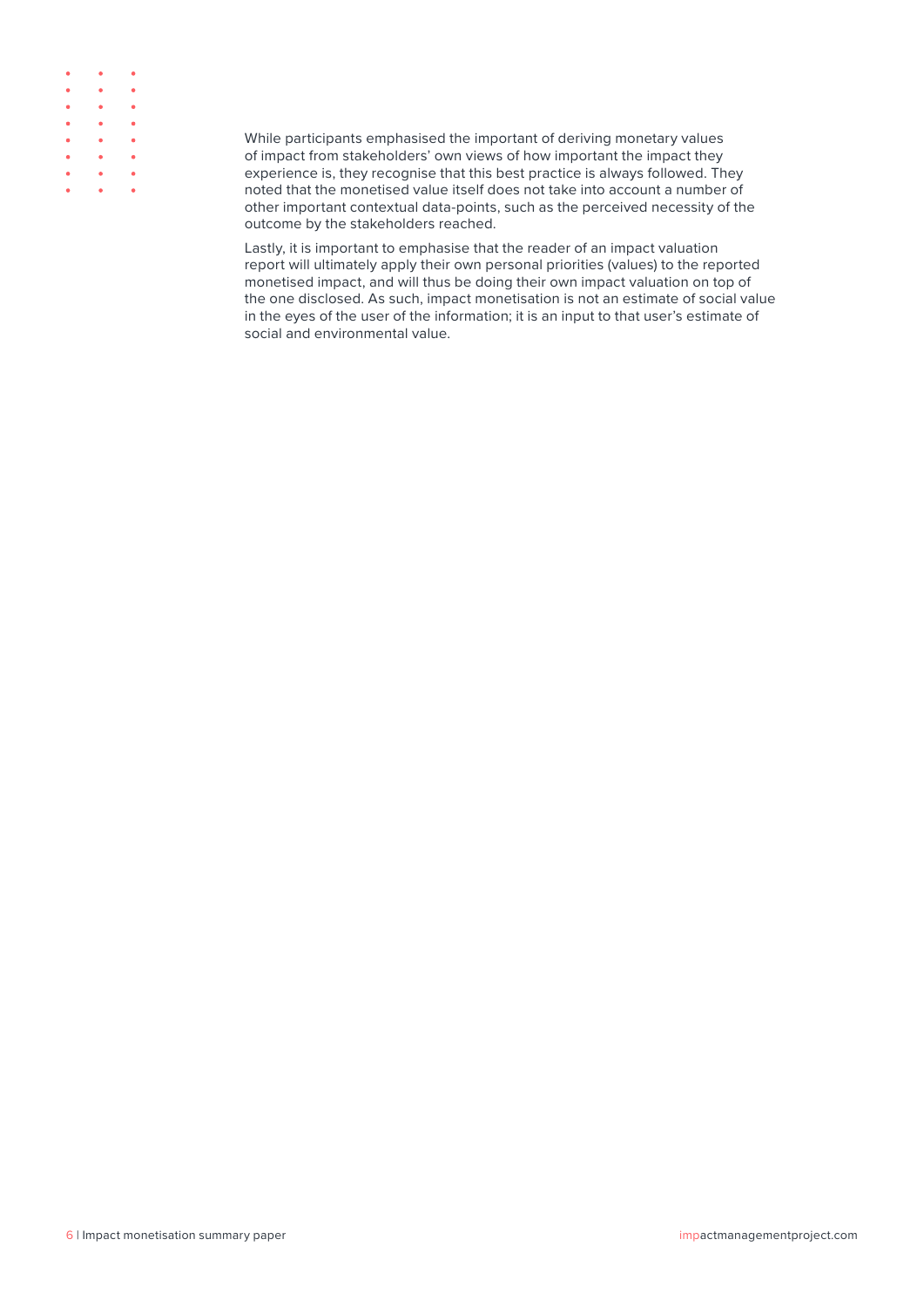| $\bullet \qquad \bullet \qquad \bullet$ |                                  |   |
|-----------------------------------------|----------------------------------|---|
| $\bullet$ $\bullet$ $\bullet$           |                                  | ٠ |
| $\bullet \qquad \bullet \qquad \bullet$ |                                  |   |
| $\bullet \qquad \bullet \qquad \bullet$ |                                  | ٠ |
| $\bullet \qquad \bullet \qquad \bullet$ |                                  |   |
| $\bullet$ . The set of $\bullet$        | $\bullet$ . The set of $\bullet$ | ۰ |
| $\bullet \qquad \bullet \qquad \bullet$ |                                  | ۰ |
| $\bullet \qquad \bullet \qquad \bullet$ |                                  | ٠ |

While participants emphasised the important of deriving monetary values of impact from stakeholders' own views of how important the impact they experience is, they recognise that this best practice is always followed. They noted that the monetised value itself does not take into account a number of other important contextual data-points, such as the perceived necessity of the outcome by the stakeholders reached.

Lastly, it is important to emphasise that the reader of an impact valuation report will ultimately apply their own personal priorities (values) to the reported monetised impact, and will thus be doing their own impact valuation on top of the one disclosed. As such, impact monetisation is not an estimate of social value in the eyes of the user of the information; it is an input to that user's estimate of social and environmental value.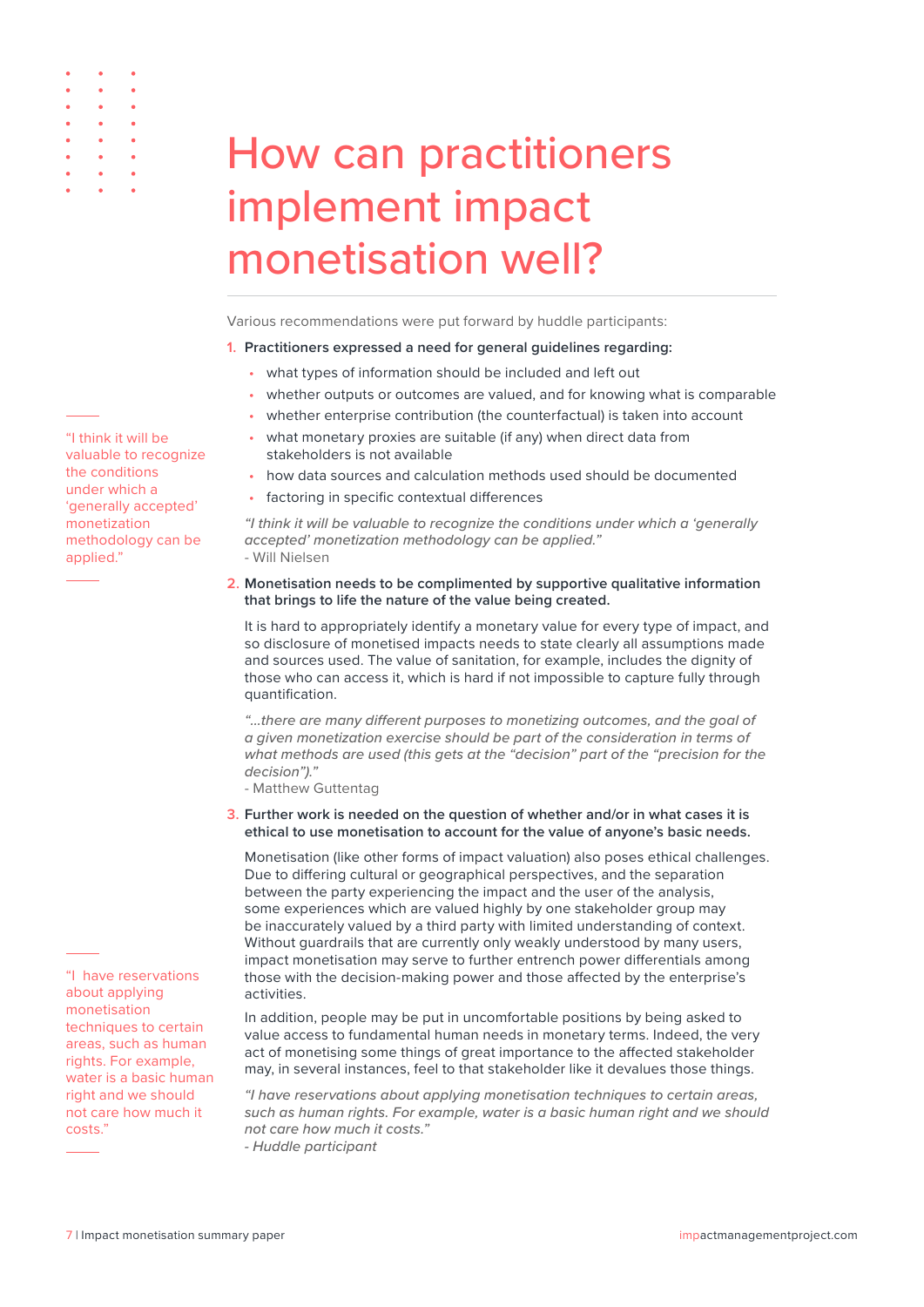

Various recommendations were put forward by huddle participants:

#### **1. Practitioners expressed a need for general guidelines regarding:**

- what types of information should be included and left out
- whether outputs or outcomes are valued, and for knowing what is comparable
- whether enterprise contribution (the counterfactual) is taken into account
- what monetary proxies are suitable (if any) when direct data from stakeholders is not available
- how data sources and calculation methods used should be documented
- factoring in specific contextual differences

*"I think it will be valuable to recognize the conditions under which a 'generally accepted' monetization methodology can be applied."*  - Will Nielsen

**2. Monetisation needs to be complimented by supportive qualitative information that brings to life the nature of the value being created.**

It is hard to appropriately identify a monetary value for every type of impact, and so disclosure of monetised impacts needs to state clearly all assumptions made and sources used. The value of sanitation, for example, includes the dignity of those who can access it, which is hard if not impossible to capture fully through quantification.

*"…there are many different purposes to monetizing outcomes, and the goal of a given monetization exercise should be part of the consideration in terms of what methods are used (this gets at the "decision" part of the "precision for the decision")."* 

- Matthew Guttentag

**3. Further work is needed on the question of whether and/or in what cases it is ethical to use monetisation to account for the value of anyone's basic needs.** 

Monetisation (like other forms of impact valuation) also poses ethical challenges. Due to differing cultural or geographical perspectives, and the separation between the party experiencing the impact and the user of the analysis, some experiences which are valued highly by one stakeholder group may be inaccurately valued by a third party with limited understanding of context. Without guardrails that are currently only weakly understood by many users, impact monetisation may serve to further entrench power differentials among those with the decision-making power and those affected by the enterprise's activities.

In addition, people may be put in uncomfortable positions by being asked to value access to fundamental human needs in monetary terms. Indeed, the very act of monetising some things of great importance to the affected stakeholder may, in several instances, feel to that stakeholder like it devalues those things.

*"I have reservations about applying monetisation techniques to certain areas, such as human rights. For example, water is a basic human right and we should not care how much it costs."* 

*- Huddle participant*

"I think it will be valuable to recognize the conditions under which a 'generally accepted' monetization methodology can be applied."

<span id="page-8-0"></span> $\ddot{\phantom{0}}$ 

"I have reservations about applying monetisation techniques to certain areas, such as human rights. For example, water is a basic human right and we should not care how much it costs."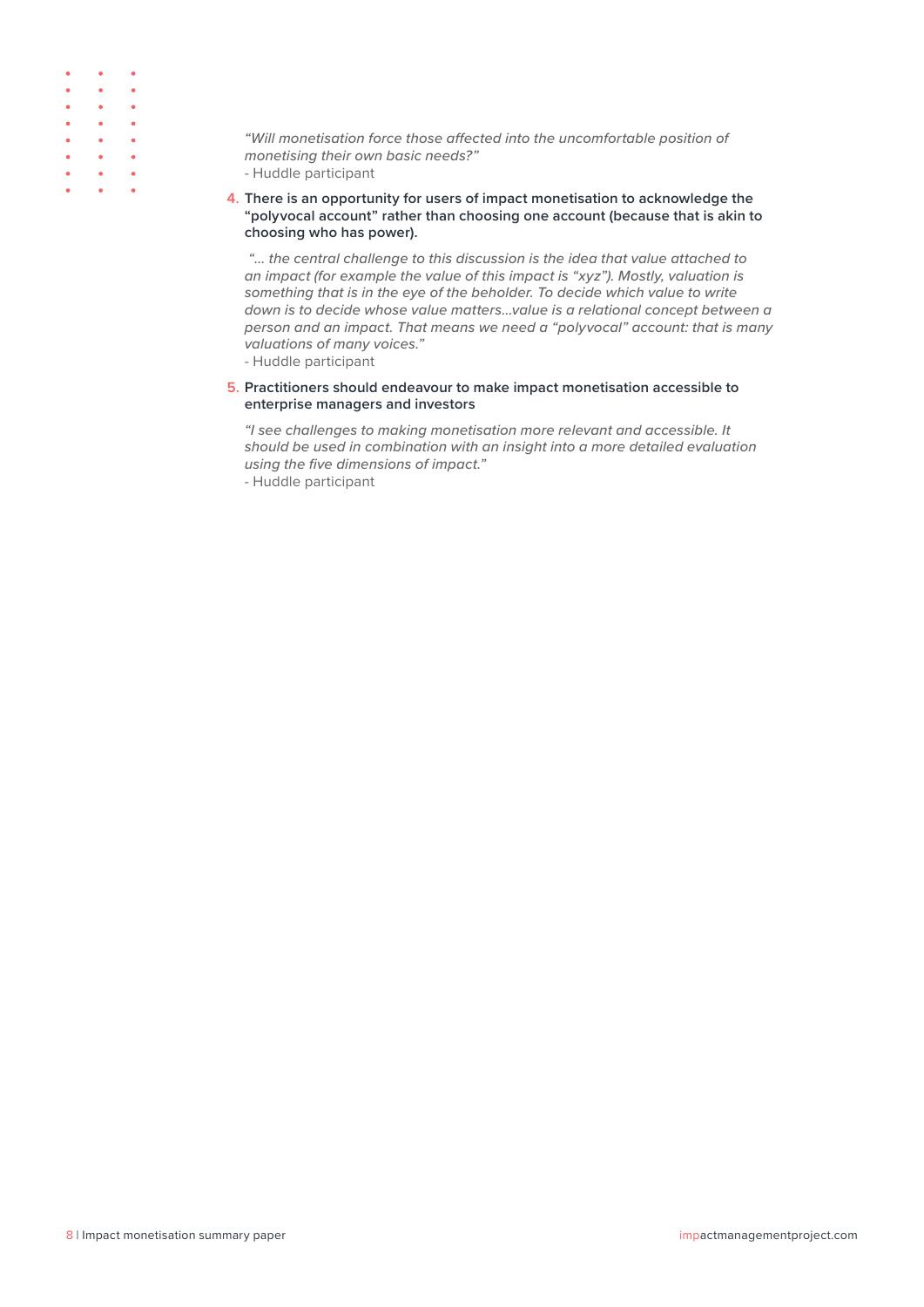|                                  | $\bullet$ and $\bullet$ and $\bullet$ | ۰ |
|----------------------------------|---------------------------------------|---|
| $\bullet$ . The set of $\bullet$ | $\bullet$ . The set of $\bullet$      | ٠ |
|                                  | $\bullet$ $\bullet$ $\bullet$         | ٠ |
| $\bullet$ . The set of $\bullet$ | $\bullet$ . The set of $\bullet$      | ۰ |
| $\bullet$ . The set              | $\bullet$ . The set of $\bullet$      | ٠ |
| $\bullet$ $\bullet$ $\bullet$    |                                       | ٠ |
| $\bullet$ . The set of $\bullet$ | $\bullet$ . The set of $\bullet$      | ٠ |
|                                  | $\bullet$ $\bullet$ $\bullet$         |   |

*"Will monetisation force those affected into the uncomfortable position of monetising their own basic needs?"* 

- Huddle participant
- **4. There is an opportunity for users of impact monetisation to acknowledge the "polyvocal account" rather than choosing one account (because that is akin to choosing who has power).**

 *"… the central challenge to this discussion is the idea that value attached to an impact (for example the value of this impact is "xyz"). Mostly, valuation is something that is in the eye of the beholder. To decide which value to write down is to decide whose value matters…value is a relational concept between a person and an impact. That means we need a "polyvocal" account: that is many valuations of many voices."* 

- Huddle participant

**5. Practitioners should endeavour to make impact monetisation accessible to enterprise managers and investors**

*"I see challenges to making monetisation more relevant and accessible. It should be used in combination with an insight into a more detailed evaluation using the five dimensions of impact."*

- Huddle participant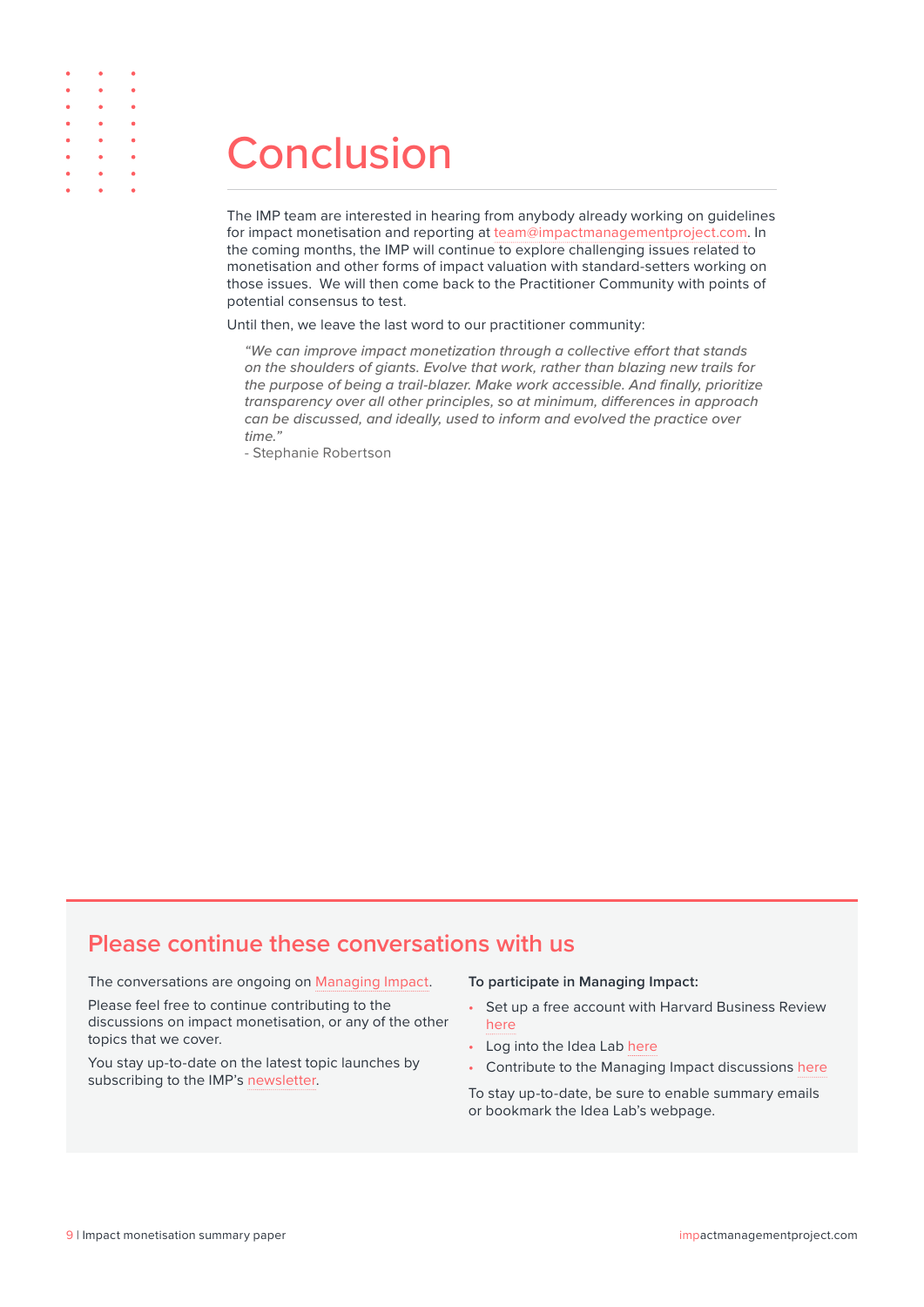### **Conclusion**

<span id="page-10-0"></span> $\ddot{\phantom{a}}$  $\bullet$ 

> The IMP team are interested in hearing from anybody already working on guidelines for impact monetisation and reporting at [team@impactmanagementproject.com.](mailto:team%40impactmanagementproject.com?subject=) In the coming months, the IMP will continue to explore challenging issues related to monetisation and other forms of impact valuation with standard-setters working on those issues. We will then come back to the Practitioner Community with points of potential consensus to test.

Until then, we leave the last word to our practitioner community:

*"We can improve impact monetization through a collective effort that stands on the shoulders of giants. Evolve that work, rather than blazing new trails for the purpose of being a trail-blazer. Make work accessible. And finally, prioritize transparency over all other principles, so at minimum, differences in approach can be discussed, and ideally, used to inform and evolved the practice over time."* 

- Stephanie Robertson

### **Please continue these conversations with us**

The conversations are ongoing on [Managing Impact](https://idealab.hbr.org/groups/managing-impact/).

Please feel free to continue contributing to the discussions on impact monetisation, or any of the other topics that we cover.

You stay up-to-date on the latest topic launches by subscribing to the IMP's [newsletter.](https://impactmanagementproject.com/contact/#subscribe)

#### **To participate in Managing Impact:**

- Set up a free account with Harvard Business Review [here](https://impactmanagementproject.us15.list-manage.com/track/click?u=2ca127aafd831bd2bef67b27e&id=3b458f00b0&e=b633d7dd1c)
- Log into the Idea Lab [here](https://impactmanagementproject.us15.list-manage.com/track/click?u=2ca127aafd831bd2bef67b27e&id=fde8b79423&e=b633d7dd1c)
- Contribute to the Managing Impact discussions [here](https://impactmanagementproject.us15.list-manage.com/track/click?u=2ca127aafd831bd2bef67b27e&id=17a57e38c8&e=b633d7dd1c)

To stay up-to-date, be sure to enable summary emails or bookmark the Idea Lab's webpage.